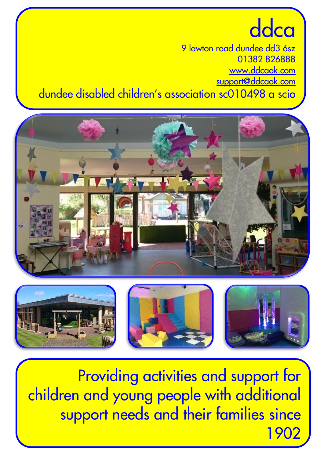## ddca 9 lawton road dundee dd3 6sz 01382 826888 [www.ddcaok.com](http://www.ddcaok.com/) [support@ddcaok.com](mailto:support@ddcaok.com) dundee disabled children's association sc010498 a scio





Providing activities and support for children and young people with additional support needs and their families since 1902